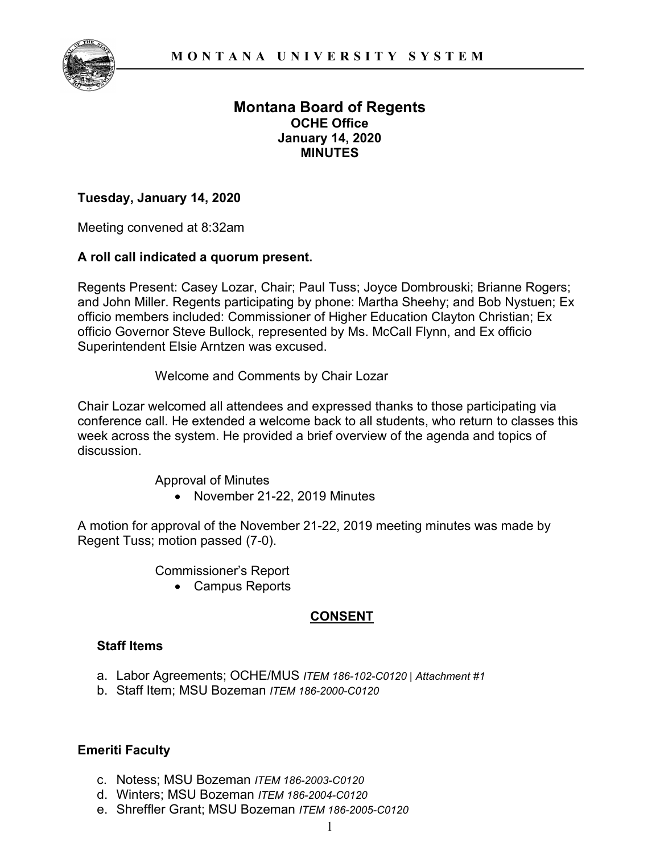

## **Montana Board of Regents OCHE Office January 14, 2020 MINUTES**

#### **Tuesday, January 14, 2020**

Meeting convened at 8:32am

#### **A roll call indicated a quorum present.**

Regents Present: Casey Lozar, Chair; Paul Tuss; Joyce Dombrouski; Brianne Rogers; and John Miller. Regents participating by phone: Martha Sheehy; and Bob Nystuen; Ex officio members included: Commissioner of Higher Education Clayton Christian; Ex officio Governor Steve Bullock, represented by Ms. McCall Flynn, and Ex officio Superintendent Elsie Arntzen was excused.

Welcome and Comments by Chair Lozar

Chair Lozar welcomed all attendees and expressed thanks to those participating via conference call. He extended a welcome back to all students, who return to classes this week across the system. He provided a brief overview of the agenda and topics of discussion.

> Approval of Minutes • November 21-22, 2019 Minutes

A motion for approval of the November 21-22, 2019 meeting minutes was made by Regent Tuss; motion passed (7-0).

Commissioner's Report

• Campus Reports

## **CONSENT**

#### **Staff Items**

- a. Labor Agreements; OCHE/MUS *ITEM 186-102-C0120 | Attachment #1*
- b. Staff Item; MSU Bozeman *ITEM 186-2000-C0120*

## **Emeriti Faculty**

- c. Notess; MSU Bozeman *ITEM 186-2003-C0120*
- d. Winters; MSU Bozeman *ITEM 186-2004-C0120*
- e. Shreffler Grant; MSU Bozeman *ITEM 186-2005-C0120*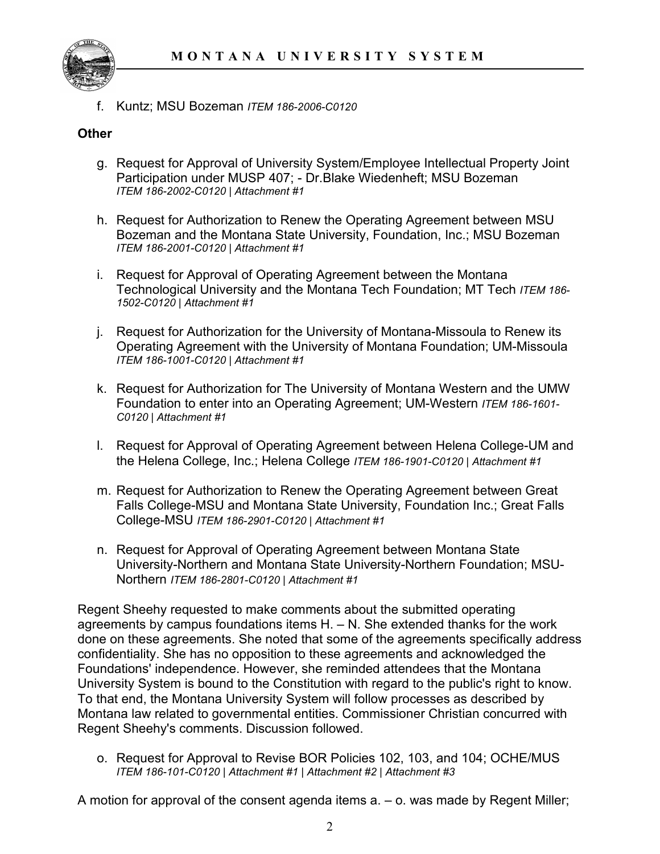

f. Kuntz; MSU Bozeman *ITEM 186-2006-C0120*

## **Other**

- g. Request for Approval of University System/Employee Intellectual Property Joint Participation under MUSP 407; - Dr.Blake Wiedenheft; MSU Bozeman *ITEM 186-2002-C0120 | Attachment #1*
- h. Request for Authorization to Renew the Operating Agreement between MSU Bozeman and the Montana State University, Foundation, Inc.; MSU Bozeman *ITEM 186-2001-C0120 | Attachment #1*
- i. Request for Approval of Operating Agreement between the Montana Technological University and the Montana Tech Foundation; MT Tech *ITEM 186- 1502-C0120 | Attachment #1*
- j. Request for Authorization for the University of Montana-Missoula to Renew its Operating Agreement with the University of Montana Foundation; UM-Missoula *ITEM 186-1001-C0120 | Attachment #1*
- k. Request for Authorization for The University of Montana Western and the UMW Foundation to enter into an Operating Agreement; UM-Western *ITEM 186-1601- C0120 | Attachment #1*
- l. Request for Approval of Operating Agreement between Helena College-UM and the Helena College, Inc.; Helena College *ITEM 186-1901-C0120 | Attachment #1*
- m. Request for Authorization to Renew the Operating Agreement between Great Falls College-MSU and Montana State University, Foundation Inc.; Great Falls College-MSU *ITEM 186-2901-C0120 | Attachment #1*
- n. Request for Approval of Operating Agreement between Montana State University-Northern and Montana State University-Northern Foundation; MSU-Northern *ITEM 186-2801-C0120 | Attachment #1*

Regent Sheehy requested to make comments about the submitted operating agreements by campus foundations items H. – N. She extended thanks for the work done on these agreements. She noted that some of the agreements specifically address confidentiality. She has no opposition to these agreements and acknowledged the Foundations' independence. However, she reminded attendees that the Montana University System is bound to the Constitution with regard to the public's right to know. To that end, the Montana University System will follow processes as described by Montana law related to governmental entities. Commissioner Christian concurred with Regent Sheehy's comments. Discussion followed.

o. Request for Approval to Revise BOR Policies 102, 103, and 104; OCHE/MUS *ITEM 186-101-C0120 | Attachment #1 | Attachment #2 | Attachment #3*

A motion for approval of the consent agenda items a. – o. was made by Regent Miller;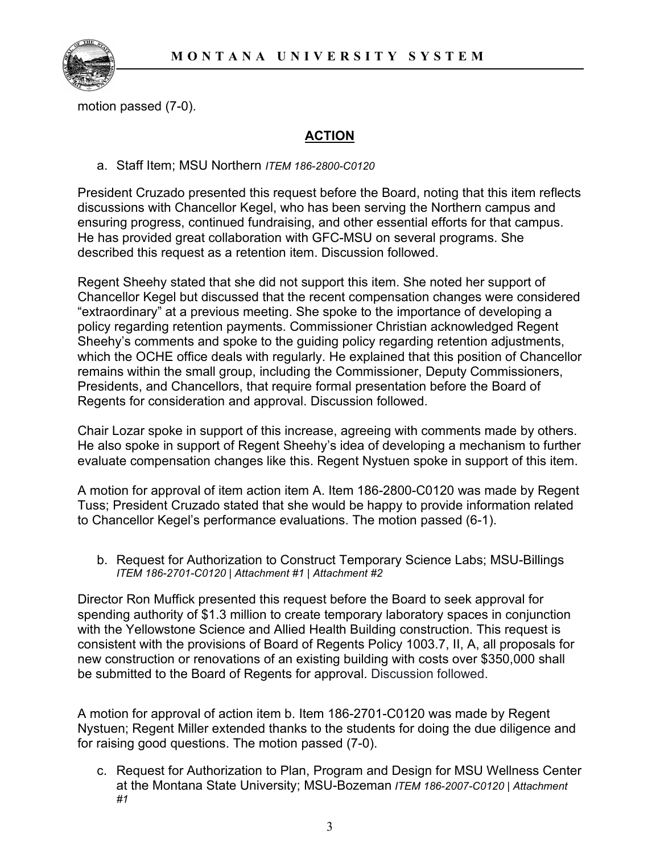

motion passed (7-0).

## **ACTION**

a. Staff Item; MSU Northern *ITEM 186-2800-C0120*

President Cruzado presented this request before the Board, noting that this item reflects discussions with Chancellor Kegel, who has been serving the Northern campus and ensuring progress, continued fundraising, and other essential efforts for that campus. He has provided great collaboration with GFC-MSU on several programs. She described this request as a retention item. Discussion followed.

Regent Sheehy stated that she did not support this item. She noted her support of Chancellor Kegel but discussed that the recent compensation changes were considered "extraordinary" at a previous meeting. She spoke to the importance of developing a policy regarding retention payments. Commissioner Christian acknowledged Regent Sheehy's comments and spoke to the guiding policy regarding retention adjustments, which the OCHE office deals with regularly. He explained that this position of Chancellor remains within the small group, including the Commissioner, Deputy Commissioners, Presidents, and Chancellors, that require formal presentation before the Board of Regents for consideration and approval. Discussion followed.

Chair Lozar spoke in support of this increase, agreeing with comments made by others. He also spoke in support of Regent Sheehy's idea of developing a mechanism to further evaluate compensation changes like this. Regent Nystuen spoke in support of this item.

A motion for approval of item action item A. Item 186-2800-C0120 was made by Regent Tuss; President Cruzado stated that she would be happy to provide information related to Chancellor Kegel's performance evaluations. The motion passed (6-1).

b. Request for Authorization to Construct Temporary Science Labs; MSU-Billings *ITEM 186-2701-C0120 | Attachment #1 | Attachment #2*

Director Ron Muffick presented this request before the Board to seek approval for spending authority of \$1.3 million to create temporary laboratory spaces in conjunction with the Yellowstone Science and Allied Health Building construction. This request is consistent with the provisions of Board of Regents Policy 1003.7, II, A, all proposals for new construction or renovations of an existing building with costs over \$350,000 shall be submitted to the Board of Regents for approval. Discussion followed.

A motion for approval of action item b. Item 186-2701-C0120 was made by Regent Nystuen; Regent Miller extended thanks to the students for doing the due diligence and for raising good questions. The motion passed (7-0).

c. Request for Authorization to Plan, Program and Design for MSU Wellness Center at the Montana State University; MSU-Bozeman *ITEM 186-2007-C0120 | Attachment #1*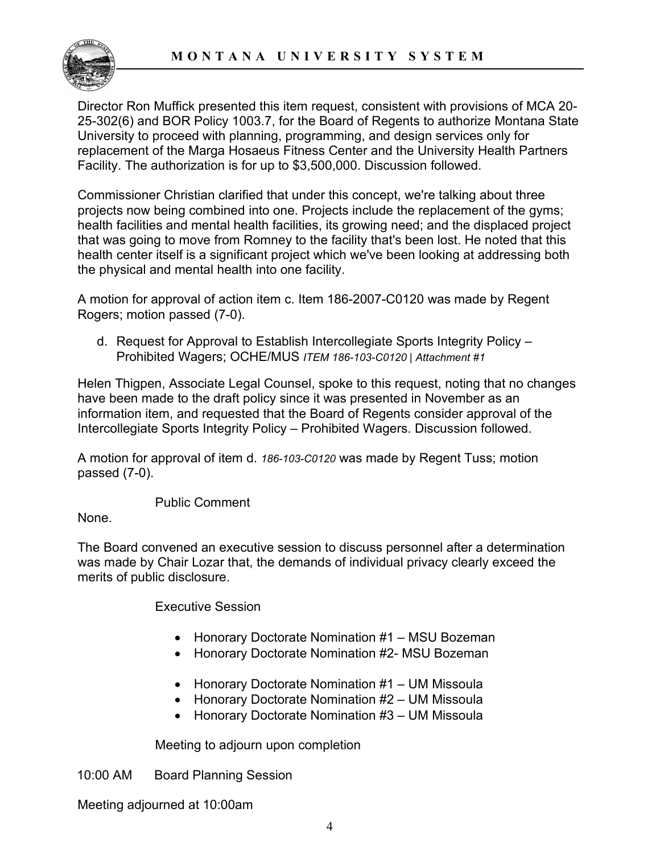#### **MONTANA UNIVERSITY SYSTEM**



Director Ron Muffick presented this item request, consistent with provisions of MCA 20- 25-302(6) and BOR Policy 1003.7, for the Board of Regents to authorize Montana State University to proceed with planning, programming, and design services only for replacement of the Marga Hosaeus Fitness Center and the University Health Partners Facility. The authorization is for up to \$3,500,000. Discussion followed.

Commissioner Christian clarified that under this concept, we're talking about three projects now being combined into one. Projects include the replacement of the gyms; health facilities and mental health facilities, its growing need; and the displaced project that was going to move from Romney to the facility that's been lost. He noted that this health center itself is a significant project which we've been looking at addressing both the physical and mental health into one facility.

A motion for approval of action item c. Item 186-2007-C0120 was made by Regent Rogers; motion passed (7-0).

d. Request for Approval to Establish Intercollegiate Sports Integrity Policy – Prohibited Wagers; OCHE/MUS *ITEM 186-103-C0120 | Attachment #1*

Helen Thigpen, Associate Legal Counsel, spoke to this request, noting that no changes have been made to the draft policy since it was presented in November as an information item, and requested that the Board of Regents consider approval of the Intercollegiate Sports Integrity Policy – Prohibited Wagers. Discussion followed.

A motion for approval of item d. *186-103-C0120* was made by Regent Tuss; motion passed (7-0).

Public Comment

None.

The Board convened an executive session to discuss personnel after a determination was made by Chair Lozar that, the demands of individual privacy clearly exceed the merits of public disclosure.

Executive Session

- Honorary Doctorate Nomination #1 MSU Bozeman
- Honorary Doctorate Nomination #2- MSU Bozeman
- Honorary Doctorate Nomination #1 UM Missoula
- Honorary Doctorate Nomination #2 UM Missoula
- Honorary Doctorate Nomination #3 UM Missoula

Meeting to adjourn upon completion

10:00 AM Board Planning Session

Meeting adjourned at 10:00am